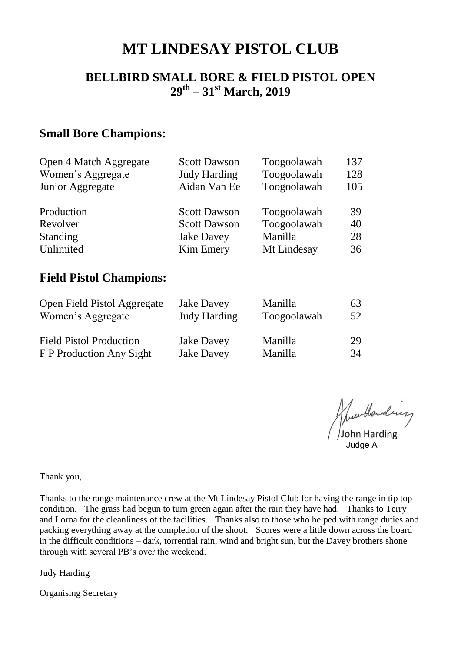# **MT LINDESAY PISTOL CLUB**

#### **BELLBIRD SMALL BORE & FIELD PISTOL OPEN 29th – 31st March, 2019**

#### **Small Bore Champions:**

| Open 4 Match Aggregate | <b>Scott Dawson</b> | Toogoolawah | 137 |
|------------------------|---------------------|-------------|-----|
| Women's Aggregate      | <b>Judy Harding</b> | Toogoolawah | 128 |
| Junior Aggregate       | Aidan Van Ee        | Toogoolawah | 105 |
| Production             | <b>Scott Dawson</b> | Toogoolawah | 39  |
| Revolver               | <b>Scott Dawson</b> | Toogoolawah | 40  |
| <b>Standing</b>        | <b>Jake Davey</b>   | Manilla     | 28  |
| Unlimited              | <b>Kim Emery</b>    | Mt Lindesay | 36  |

#### **Field Pistol Champions:**

| Open Field Pistol Aggregate    | <b>Jake Davey</b>   | Manilla     | 63 |
|--------------------------------|---------------------|-------------|----|
| Women's Aggregate              | <b>Judy Harding</b> | Toogoolawah | 52 |
| <b>Field Pistol Production</b> | <b>Jake Davey</b>   | Manilla     | 29 |
| F P Production Any Sight       | <b>Jake Davey</b>   | Manilla     | 34 |

June Handing

Thank you,

Thanks to the range maintenance crew at the Mt Lindesay Pistol Club for having the range in tip top condition. The grass had begun to turn green again after the rain they have had. Thanks to Terry and Lorna for the cleanliness of the facilities. Thanks also to those who helped with range duties and packing everything away at the completion of the shoot. Scores were a little down across the board in the difficult conditions – dark, torrential rain, wind and bright sun, but the Davey brothers shone through with several PB's over the weekend.

Judy Harding

Organising Secretary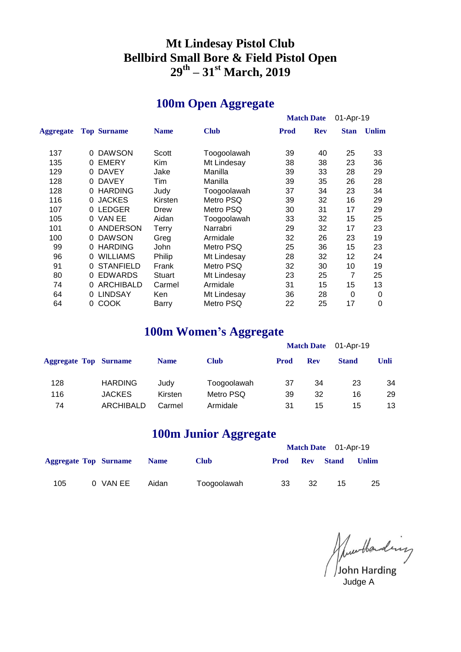### **Mt Lindesay Pistol Club Bellbird Small Bore & Field Pistol Open th – 31st March, 2019**

## **100m Open Aggregate**

|                  |   |                    |               |             |      | <b>Match Date</b> | 01-Apr-19   |              |
|------------------|---|--------------------|---------------|-------------|------|-------------------|-------------|--------------|
| <b>Aggregate</b> |   | <b>Top Surname</b> | <b>Name</b>   | <b>Club</b> | Prod | <b>Rev</b>        | <b>Stan</b> | <b>Unlim</b> |
| 137              | 0 | <b>DAWSON</b>      | Scott         | Toogoolawah | 39   | 40                | 25          | 33           |
| 135              | 0 | <b>EMERY</b>       | Kim.          | Mt Lindesay | 38   | 38                | 23          | 36           |
| 129              | 0 | <b>DAVEY</b>       | Jake          | Manilla     | 39   | 33                | 28          | 29           |
| 128              | 0 | <b>DAVEY</b>       | Tim           | Manilla     | 39   | 35                | 26          | 28           |
| 128              | 0 | <b>HARDING</b>     | Judy          | Toogoolawah | 37   | 34                | 23          | 34           |
| 116              | 0 | <b>JACKES</b>      | Kirsten       | Metro PSQ   | 39   | 32                | 16          | 29           |
| 107              | 0 | <b>LEDGER</b>      | Drew          | Metro PSQ   | 30   | 31                | 17          | 29           |
| 105              | 0 | VAN EE             | Aidan         | Toogoolawah | 33   | 32                | 15          | 25           |
| 101              |   | <b>ANDERSON</b>    | Terry         | Narrabri    | 29   | 32                | 17          | 23           |
| 100              | 0 | <b>DAWSON</b>      | Greg          | Armidale    | 32   | 26                | 23          | 19           |
| 99               | 0 | <b>HARDING</b>     | John          | Metro PSQ   | 25   | 36                | 15          | 23           |
| 96               | 0 | <b>WILLIAMS</b>    | Philip        | Mt Lindesay | 28   | 32                | 12          | 24           |
| 91               |   | <b>STANFIELD</b>   | Frank         | Metro PSQ   | 32   | 30                | 10          | 19           |
| 80               | 0 | <b>EDWARDS</b>     | <b>Stuart</b> | Mt Lindesay | 23   | 25                | 7           | 25           |
| 74               |   | <b>ARCHIBALD</b>   | Carmel        | Armidale    | 31   | 15                | 15          | 13           |
| 64               |   | <b>LINDSAY</b>     | Ken           | Mt Lindesay | 36   | 28                | 0           | 0            |
| 64               | 0 | <b>COOK</b>        | Barry         | Metro PSQ   | 22   | 25                | 17          | 0            |

### **100m Women's Aggregate**

|                              |                |             | 88 8        |             |                   |              |      |
|------------------------------|----------------|-------------|-------------|-------------|-------------------|--------------|------|
|                              |                |             |             |             | <b>Match Date</b> | 01-Apr-19    |      |
| <b>Aggregate Top Surname</b> |                | <b>Name</b> | <b>Club</b> | <b>Prod</b> | <b>Rev</b>        | <b>Stand</b> | Unli |
| 128                          | <b>HARDING</b> | Judy        | Toogoolawah | 37          | 34                | 23           | 34   |
| 116                          | <b>JACKES</b>  | Kirsten     | Metro PSQ   | 39          | 32                | 16           | 29   |
| 74                           | ARCHIBALD      | Carmel      | Armidale    | 31          | 15                | 15           | 13   |
|                              |                |             |             |             |                   |              |      |

## **100m Junior Aggregate**

|                              |          |             |             |             |            | Match Date 01-Apr-19 |              |
|------------------------------|----------|-------------|-------------|-------------|------------|----------------------|--------------|
| <b>Aggregate Top Surname</b> |          | <b>Name</b> | <b>Club</b> | <b>Prod</b> | <b>Rev</b> | <b>Stand</b>         | <b>Unlim</b> |
| 105                          | 0 VAN EE | Aidan       | Toogoolawah | 33          | 32         | 15                   | 25           |

June Handing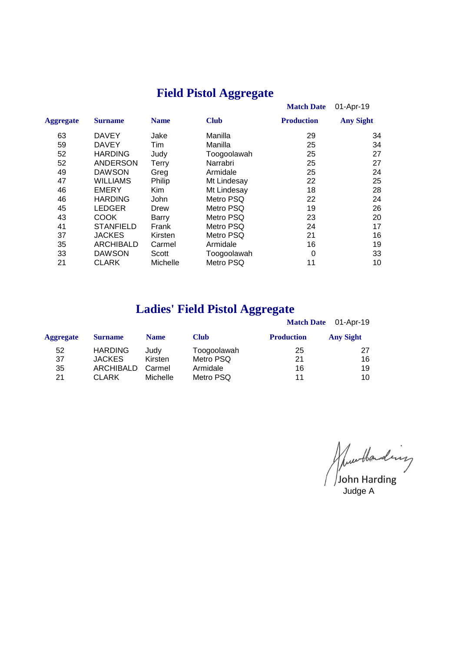# **Field Pistol Aggregate**

|                  |              |             | <b>Match Date</b> | 01-Apr-19        |
|------------------|--------------|-------------|-------------------|------------------|
| <b>Surname</b>   | <b>Name</b>  | <b>Club</b> | <b>Production</b> | <b>Any Sight</b> |
| <b>DAVEY</b>     | Jake         | Manilla     | 29                | 34               |
| <b>DAVEY</b>     | Tim          | Manilla     | 25                | 34               |
| <b>HARDING</b>   | Judy         | Toogoolawah | 25                | 27               |
| <b>ANDERSON</b>  | <b>Terry</b> | Narrabri    | 25                | 27               |
| <b>DAWSON</b>    | Greg         | Armidale    | 25                | 24               |
| <b>WILLIAMS</b>  | Philip       | Mt Lindesay | 22                | 25               |
| <b>EMERY</b>     | Kim          | Mt Lindesay | 18                | 28               |
| <b>HARDING</b>   | <b>John</b>  | Metro PSQ   | 22                | 24               |
| <b>LEDGER</b>    | Drew         | Metro PSQ   | 19                | 26               |
| <b>COOK</b>      | Barry        | Metro PSQ   | 23                | 20               |
| <b>STANFIELD</b> | Frank        | Metro PSQ   | 24                | 17               |
| <b>JACKES</b>    | Kirsten      | Metro PSQ   | 21                | 16               |
| <b>ARCHIBALD</b> | Carmel       | Armidale    | 16                | 19               |
| <b>DAWSON</b>    | Scott        | Toogoolawah | 0                 | 33               |
| <b>CLARK</b>     | Michelle     | Metro PSQ   | 11                | 10               |
|                  |              |             |                   |                  |

## **Ladies' Field Pistol Aggregate**

|                  |                  |             |             |                   | Match Date 01-Apr-19 |
|------------------|------------------|-------------|-------------|-------------------|----------------------|
| <b>Aggregate</b> | <b>Surname</b>   | <b>Name</b> | <b>Club</b> | <b>Production</b> | <b>Any Sight</b>     |
| 52               | <b>HARDING</b>   | Judv        | Toogoolawah | 25                | 27                   |
| 37               | <b>JACKES</b>    | Kirsten     | Metro PSQ   | 21                | 16                   |
| 35               | <b>ARCHIBALD</b> | Carmel      | Armidale    | 16                | 19                   |
| 21               | <b>CLARK</b>     | Michelle    | Metro PSQ   | 11                | 10                   |

June Handing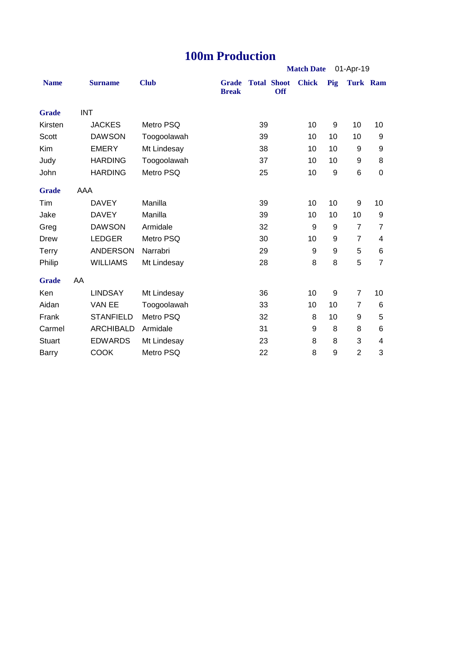#### **100m Production**

|               |            |                  |             | <b>Match Date</b><br>01-Apr-19 |    |                                  |              |     |                |                 |
|---------------|------------|------------------|-------------|--------------------------------|----|----------------------------------|--------------|-----|----------------|-----------------|
| <b>Name</b>   |            | <b>Surname</b>   | <b>Club</b> | <b>Grade</b><br><b>Break</b>   |    | <b>Total Shoot</b><br><b>Off</b> | <b>Chick</b> | Pig |                | <b>Turk Ram</b> |
| <b>Grade</b>  | <b>INT</b> |                  |             |                                |    |                                  |              |     |                |                 |
| Kirsten       |            | <b>JACKES</b>    | Metro PSQ   |                                | 39 |                                  | 10           | 9   | 10             | 10              |
| Scott         |            | <b>DAWSON</b>    | Toogoolawah |                                | 39 |                                  | 10           | 10  | 10             | 9               |
| Kim           |            | <b>EMERY</b>     | Mt Lindesay |                                | 38 |                                  | 10           | 10  | 9              | 9               |
| Judy          |            | <b>HARDING</b>   | Toogoolawah |                                | 37 |                                  | 10           | 10  | 9              | 8               |
| John          |            | <b>HARDING</b>   | Metro PSQ   |                                | 25 |                                  | 10           | 9   | 6              | $\mathbf 0$     |
| <b>Grade</b>  | AAA        |                  |             |                                |    |                                  |              |     |                |                 |
| Tim           |            | <b>DAVEY</b>     | Manilla     |                                | 39 |                                  | 10           | 10  | 9              | 10              |
| Jake          |            | <b>DAVEY</b>     | Manilla     |                                | 39 |                                  | 10           | 10  | 10             | 9               |
| Greg          |            | <b>DAWSON</b>    | Armidale    |                                | 32 |                                  | 9            | 9   | $\overline{7}$ | $\overline{7}$  |
| <b>Drew</b>   |            | <b>LEDGER</b>    | Metro PSQ   |                                | 30 |                                  | 10           | 9   | $\overline{7}$ | 4               |
| Terry         |            | <b>ANDERSON</b>  | Narrabri    |                                | 29 |                                  | 9            | 9   | 5              | 6               |
| Philip        |            | <b>WILLIAMS</b>  | Mt Lindesay |                                | 28 |                                  | 8            | 8   | 5              | $\overline{7}$  |
| <b>Grade</b>  | AA         |                  |             |                                |    |                                  |              |     |                |                 |
| Ken           |            | <b>LINDSAY</b>   | Mt Lindesay |                                | 36 |                                  | 10           | 9   | $\overline{7}$ | 10              |
| Aidan         |            | VAN EE           | Toogoolawah |                                | 33 |                                  | 10           | 10  | 7              | 6               |
| Frank         |            | <b>STANFIELD</b> | Metro PSQ   |                                | 32 |                                  | 8            | 10  | 9              | 5               |
| Carmel        |            | <b>ARCHIBALD</b> | Armidale    |                                | 31 |                                  | 9            | 8   | 8              | 6               |
| <b>Stuart</b> |            | <b>EDWARDS</b>   | Mt Lindesay |                                | 23 |                                  | 8            | 8   | 3              | 4               |
| <b>Barry</b>  |            | <b>COOK</b>      | Metro PSQ   |                                | 22 |                                  | 8            | 9   | $\overline{2}$ | 3               |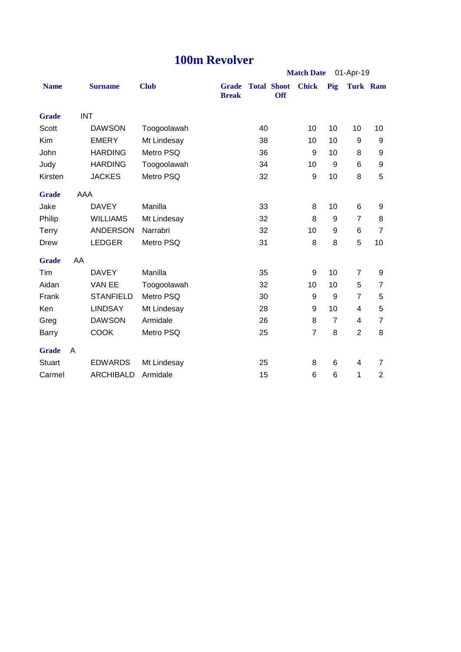# **100m Revolver**

|                   |            |                  | TUUM KEVOIVET |                              |    |                                  |                |                |                |                |
|-------------------|------------|------------------|---------------|------------------------------|----|----------------------------------|----------------|----------------|----------------|----------------|
| <b>Match Date</b> |            |                  |               |                              |    |                                  |                |                | 01-Apr-19      |                |
| <b>Name</b>       |            | <b>Surname</b>   | <b>Club</b>   | <b>Grade</b><br><b>Break</b> |    | <b>Total Shoot</b><br><b>Off</b> | <b>Chick</b>   | Pig            | Turk Ram       |                |
| <b>Grade</b>      | <b>INT</b> |                  |               |                              |    |                                  |                |                |                |                |
| Scott             |            | <b>DAWSON</b>    | Toogoolawah   |                              | 40 |                                  | 10             | 10             | 10             | 10             |
| Kim               |            | <b>EMERY</b>     | Mt Lindesay   |                              | 38 |                                  | 10             | 10             | 9              | 9              |
| John              |            | <b>HARDING</b>   | Metro PSQ     |                              | 36 |                                  | 9              | 10             | 8              | 9              |
| Judy              |            | <b>HARDING</b>   | Toogoolawah   |                              | 34 |                                  | 10             | 9              | 6              | 9              |
| Kirsten           |            | <b>JACKES</b>    | Metro PSQ     |                              | 32 |                                  | 9              | 10             | 8              | 5              |
| <b>Grade</b>      | AAA        |                  |               |                              |    |                                  |                |                |                |                |
| Jake              |            | <b>DAVEY</b>     | Manilla       |                              | 33 |                                  | 8              | 10             | 6              | 9              |
| Philip            |            | <b>WILLIAMS</b>  | Mt Lindesay   |                              | 32 |                                  | 8              | 9              | $\overline{7}$ | 8              |
| <b>Terry</b>      |            | <b>ANDERSON</b>  | Narrabri      |                              | 32 |                                  | 10             | 9              | 6              | $\overline{7}$ |
| <b>Drew</b>       |            | <b>LEDGER</b>    | Metro PSQ     |                              | 31 |                                  | 8              | 8              | 5              | 10             |
| <b>Grade</b>      | AA         |                  |               |                              |    |                                  |                |                |                |                |
| Tim               |            | <b>DAVEY</b>     | Manilla       |                              | 35 |                                  | 9              | 10             | $\overline{7}$ | 9              |
| Aidan             |            | VAN EE           | Toogoolawah   |                              | 32 |                                  | 10             | 10             | 5              | $\overline{7}$ |
| Frank             |            | <b>STANFIELD</b> | Metro PSQ     |                              | 30 |                                  | 9              | 9              | $\overline{7}$ | 5              |
| Ken               |            | <b>LINDSAY</b>   | Mt Lindesay   |                              | 28 |                                  | 9              | 10             | 4              | 5              |
| Greg              |            | <b>DAWSON</b>    | Armidale      |                              | 26 |                                  | 8              | $\overline{7}$ | 4              | $\overline{7}$ |
| <b>Barry</b>      |            | <b>COOK</b>      | Metro PSQ     |                              | 25 |                                  | $\overline{7}$ | 8              | $\overline{2}$ | 8              |
| <b>Grade</b>      | A          |                  |               |                              |    |                                  |                |                |                |                |
| <b>Stuart</b>     |            | <b>EDWARDS</b>   | Mt Lindesay   |                              | 25 |                                  | 8              | 6              | 4              | $\overline{7}$ |
| Carmel            |            | <b>ARCHIBALD</b> | Armidale      |                              | 15 |                                  | 6              | 6              | 1              | $\overline{2}$ |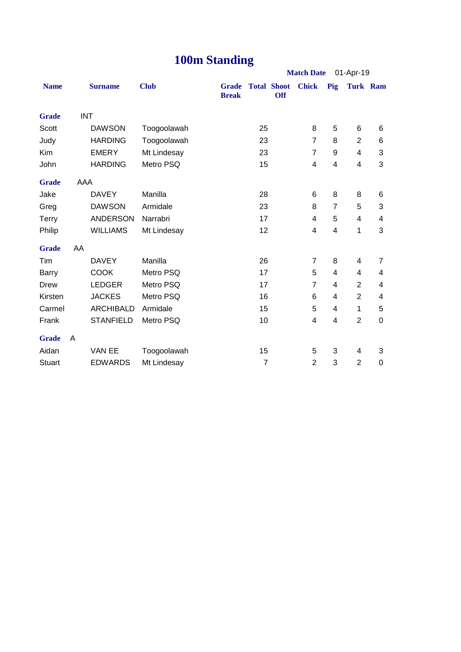# **100m Standing**

|               |            |                  |             |                              | o              |                                  |                   |                |                |             |  |
|---------------|------------|------------------|-------------|------------------------------|----------------|----------------------------------|-------------------|----------------|----------------|-------------|--|
|               |            |                  |             |                              |                |                                  | <b>Match Date</b> | 01-Apr-19      |                |             |  |
| <b>Name</b>   |            | <b>Surname</b>   | <b>Club</b> | <b>Grade</b><br><b>Break</b> |                | <b>Total Shoot</b><br><b>Off</b> | <b>Chick</b>      | Pig            | Turk Ram       |             |  |
| <b>Grade</b>  | <b>INT</b> |                  |             |                              |                |                                  |                   |                |                |             |  |
| <b>Scott</b>  |            | <b>DAWSON</b>    | Toogoolawah |                              | 25             |                                  | 8                 | 5              | 6              | 6           |  |
| Judy          |            | <b>HARDING</b>   | Toogoolawah |                              | 23             |                                  | $\overline{7}$    | 8              | $\overline{2}$ | 6           |  |
| Kim           |            | <b>EMERY</b>     | Mt Lindesay |                              | 23             |                                  | $\overline{7}$    | 9              | 4              | 3           |  |
| John          |            | <b>HARDING</b>   | Metro PSQ   |                              | 15             |                                  | 4                 | 4              | 4              | 3           |  |
| <b>Grade</b>  | AAA        |                  |             |                              |                |                                  |                   |                |                |             |  |
| Jake          |            | <b>DAVEY</b>     | Manilla     |                              | 28             |                                  | 6                 | 8              | 8              | 6           |  |
| Greg          |            | <b>DAWSON</b>    | Armidale    |                              | 23             |                                  | 8                 | $\overline{7}$ | 5              | 3           |  |
| Terry         |            | <b>ANDERSON</b>  | Narrabri    |                              | 17             |                                  | 4                 | 5              | $\overline{4}$ | 4           |  |
| Philip        |            | <b>WILLIAMS</b>  | Mt Lindesay |                              | 12             |                                  | 4                 | 4              | 1              | 3           |  |
| <b>Grade</b>  | AA         |                  |             |                              |                |                                  |                   |                |                |             |  |
| Tim           |            | <b>DAVEY</b>     | Manilla     |                              | 26             |                                  | $\overline{7}$    | 8              | 4              | 7           |  |
| Barry         |            | <b>COOK</b>      | Metro PSQ   |                              | 17             |                                  | 5                 | 4              | 4              | 4           |  |
| <b>Drew</b>   |            | <b>LEDGER</b>    | Metro PSQ   |                              | 17             |                                  | $\overline{7}$    | 4              | $\overline{2}$ | 4           |  |
| Kirsten       |            | <b>JACKES</b>    | Metro PSQ   |                              | 16             |                                  | 6                 | 4              | $\overline{2}$ | 4           |  |
| Carmel        |            | <b>ARCHIBALD</b> | Armidale    |                              | 15             |                                  | 5                 | 4              | 1              | 5           |  |
| Frank         |            | <b>STANFIELD</b> | Metro PSQ   |                              | 10             |                                  | 4                 | 4              | $\overline{2}$ | $\mathbf 0$ |  |
| <b>Grade</b>  | A          |                  |             |                              |                |                                  |                   |                |                |             |  |
| Aidan         |            | VAN EE           | Toogoolawah |                              | 15             |                                  | 5                 | 3              | 4              | 3           |  |
| <b>Stuart</b> |            | <b>EDWARDS</b>   | Mt Lindesay |                              | $\overline{7}$ |                                  | $\overline{2}$    | 3              | $\overline{2}$ | 0           |  |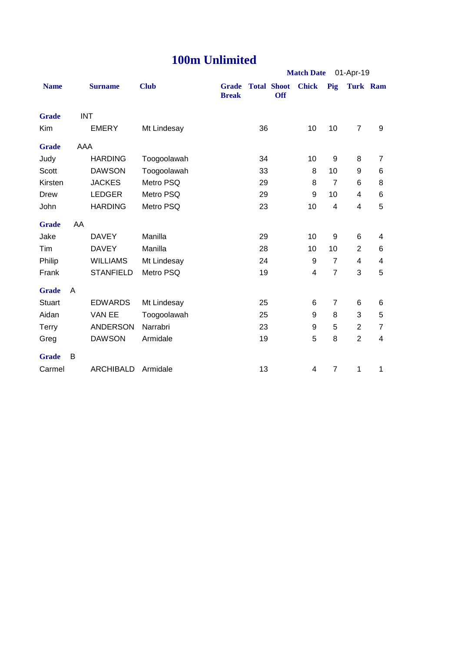# **100m Unlimited**

|               |            |                  |             |                              |    |                                  | <b>Match Date</b> |                | 01-Apr-19      |                         |
|---------------|------------|------------------|-------------|------------------------------|----|----------------------------------|-------------------|----------------|----------------|-------------------------|
| <b>Name</b>   |            | <b>Surname</b>   | <b>Club</b> | <b>Grade</b><br><b>Break</b> |    | <b>Total Shoot</b><br><b>Off</b> | <b>Chick</b>      | Pig            | Turk Ram       |                         |
| <b>Grade</b>  | <b>INT</b> |                  |             |                              |    |                                  |                   |                |                |                         |
| Kim           |            | <b>EMERY</b>     | Mt Lindesay |                              | 36 |                                  | 10                | 10             | $\overline{7}$ | 9                       |
| <b>Grade</b>  | AAA        |                  |             |                              |    |                                  |                   |                |                |                         |
| Judy          |            | <b>HARDING</b>   | Toogoolawah |                              | 34 |                                  | 10                | 9              | 8              | $\overline{7}$          |
| Scott         |            | <b>DAWSON</b>    | Toogoolawah |                              | 33 |                                  | 8                 | 10             | 9              | 6                       |
| Kirsten       |            | <b>JACKES</b>    | Metro PSQ   |                              | 29 |                                  | 8                 | $\overline{7}$ | 6              | 8                       |
| Drew          |            | <b>LEDGER</b>    | Metro PSQ   |                              | 29 |                                  | 9                 | 10             | 4              | 6                       |
| John          |            | <b>HARDING</b>   | Metro PSQ   |                              | 23 |                                  | 10                | 4              | 4              | 5                       |
| <b>Grade</b>  | AA         |                  |             |                              |    |                                  |                   |                |                |                         |
| Jake          |            | <b>DAVEY</b>     | Manilla     |                              | 29 |                                  | 10                | 9              | 6              | 4                       |
| Tim           |            | <b>DAVEY</b>     | Manilla     |                              | 28 |                                  | 10                | 10             | $\overline{2}$ | 6                       |
| Philip        |            | <b>WILLIAMS</b>  | Mt Lindesay |                              | 24 |                                  | 9                 | $\overline{7}$ | 4              | 4                       |
| Frank         |            | <b>STANFIELD</b> | Metro PSQ   |                              | 19 |                                  | 4                 | $\overline{7}$ | 3              | 5                       |
| <b>Grade</b>  | A          |                  |             |                              |    |                                  |                   |                |                |                         |
| <b>Stuart</b> |            | <b>EDWARDS</b>   | Mt Lindesay |                              | 25 |                                  | 6                 | 7              | 6              | 6                       |
| Aidan         |            | VAN EE           | Toogoolawah |                              | 25 |                                  | 9                 | 8              | 3              | 5                       |
| <b>Terry</b>  |            | <b>ANDERSON</b>  | Narrabri    |                              | 23 |                                  | 9                 | 5              | $\overline{2}$ | $\overline{7}$          |
| Greg          |            | <b>DAWSON</b>    | Armidale    |                              | 19 |                                  | 5                 | 8              | $\overline{2}$ | $\overline{\mathbf{4}}$ |
| <b>Grade</b>  | B          |                  |             |                              |    |                                  |                   |                |                |                         |
| Carmel        |            | <b>ARCHIBALD</b> | Armidale    |                              | 13 |                                  | 4                 | $\overline{7}$ | 1              | 1                       |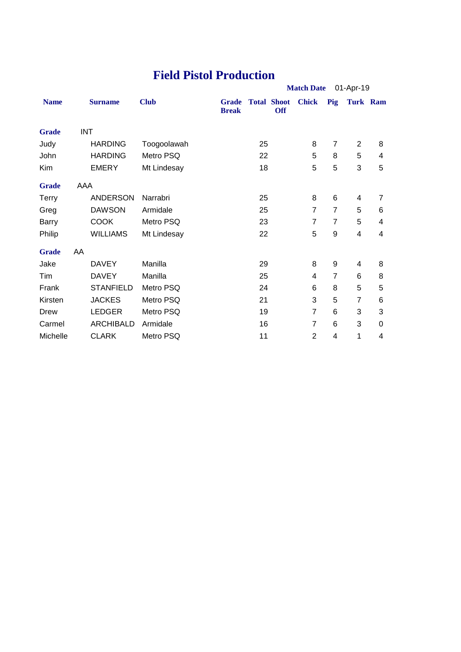### **Field Pistol Production**

|              |            |                  |             | <b>Match Date</b>            |    |                                  | 01-Apr-19      |                |                |   |
|--------------|------------|------------------|-------------|------------------------------|----|----------------------------------|----------------|----------------|----------------|---|
| <b>Name</b>  |            | <b>Surname</b>   | <b>Club</b> | <b>Grade</b><br><b>Break</b> |    | <b>Total Shoot</b><br><b>Off</b> | <b>Chick</b>   | Pig            | Turk Ram       |   |
| <b>Grade</b> | <b>INT</b> |                  |             |                              |    |                                  |                |                |                |   |
| Judy         |            | <b>HARDING</b>   | Toogoolawah |                              | 25 |                                  | 8              | $\overline{7}$ | $\overline{2}$ | 8 |
| John         |            | <b>HARDING</b>   | Metro PSQ   |                              | 22 |                                  | 5              | 8              | 5              | 4 |
| Kim          |            | <b>EMERY</b>     | Mt Lindesay |                              | 18 |                                  | 5              | 5              | 3              | 5 |
| <b>Grade</b> | AAA        |                  |             |                              |    |                                  |                |                |                |   |
| <b>Terry</b> |            | <b>ANDERSON</b>  | Narrabri    |                              | 25 |                                  | 8              | 6              | 4              | 7 |
| Greg         |            | <b>DAWSON</b>    | Armidale    |                              | 25 |                                  | $\overline{7}$ | $\overline{7}$ | 5              | 6 |
| Barry        |            | <b>COOK</b>      | Metro PSQ   |                              | 23 |                                  | $\overline{7}$ | $\overline{7}$ | 5              | 4 |
| Philip       |            | <b>WILLIAMS</b>  | Mt Lindesay |                              | 22 |                                  | 5              | 9              | 4              | 4 |
| <b>Grade</b> | AA         |                  |             |                              |    |                                  |                |                |                |   |
| Jake         |            | <b>DAVEY</b>     | Manilla     |                              | 29 |                                  | 8              | 9              | 4              | 8 |
| Tim          |            | <b>DAVEY</b>     | Manilla     |                              | 25 |                                  | 4              | 7              | 6              | 8 |
| Frank        |            | <b>STANFIELD</b> | Metro PSQ   |                              | 24 |                                  | 6              | 8              | 5              | 5 |
| Kirsten      |            | <b>JACKES</b>    | Metro PSQ   |                              | 21 |                                  | 3              | 5              | $\overline{7}$ | 6 |
| Drew         |            | <b>LEDGER</b>    | Metro PSQ   |                              | 19 |                                  | $\overline{7}$ | 6              | 3              | 3 |
| Carmel       |            | <b>ARCHIBALD</b> | Armidale    |                              | 16 |                                  | 7              | 6              | 3              | 0 |
| Michelle     |            | <b>CLARK</b>     | Metro PSQ   |                              | 11 |                                  | $\overline{2}$ | 4              | 1              | 4 |